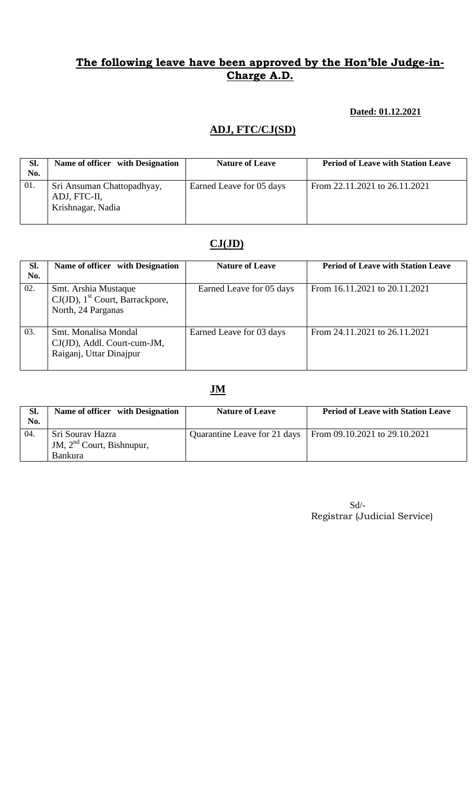### **Dated: 01.12.2021**

# **ADJ, FTC/CJ(SD)**

| SI.<br>No. | Name of officer with Designation                                | <b>Nature of Leave</b>   | <b>Period of Leave with Station Leave</b> |
|------------|-----------------------------------------------------------------|--------------------------|-------------------------------------------|
| 01.        | Sri Ansuman Chattopadhyay,<br>ADJ, FTC-II,<br>Krishnagar, Nadia | Earned Leave for 05 days | From 22.11.2021 to 26.11.2021             |

# **CJ(JD)**

| SI.<br>No. | Name of officer with Designation                                                             | <b>Nature of Leave</b>   | <b>Period of Leave with Station Leave</b> |
|------------|----------------------------------------------------------------------------------------------|--------------------------|-------------------------------------------|
| 02.        | Smt. Arshia Mustaque<br>$CJ(JD)$ , 1 <sup>st</sup> Court, Barrackpore,<br>North, 24 Parganas | Earned Leave for 05 days | From 16.11.2021 to 20.11.2021             |
| 03.        | Smt. Monalisa Mondal<br>CJ(JD), Addl. Court-cum-JM,<br>Raiganj, Uttar Dinajpur               | Earned Leave for 03 days | From 24.11.2021 to 26.11.2021             |

# **JM**

| Sl.<br>No. | Name of officer with Designation                                  | <b>Nature of Leave</b>       | <b>Period of Leave with Station Leave</b> |
|------------|-------------------------------------------------------------------|------------------------------|-------------------------------------------|
| 04.        | Sri Sourav Hazra<br>JM, $2nd$ Court, Bishnupur,<br><b>Bankura</b> | Quarantine Leave for 21 days | From $09.10.2021$ to $29.10.2021$         |

Sd/- Registrar (Judicial Service)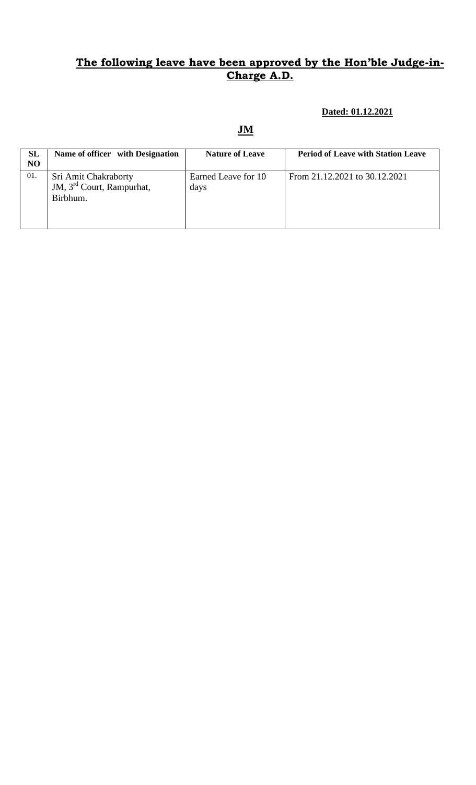### **Dated: 01.12.2021**

| SL  | Name of officer with Designation                                          | <b>Nature of Leave</b>      | <b>Period of Leave with Station Leave</b> |
|-----|---------------------------------------------------------------------------|-----------------------------|-------------------------------------------|
| NO  |                                                                           |                             |                                           |
| 01. | Sri Amit Chakraborty<br>JM, 3 <sup>rd</sup> Court, Rampurhat,<br>Birbhum. | Earned Leave for 10<br>days | From 21.12.2021 to 30.12.2021             |
|     |                                                                           |                             |                                           |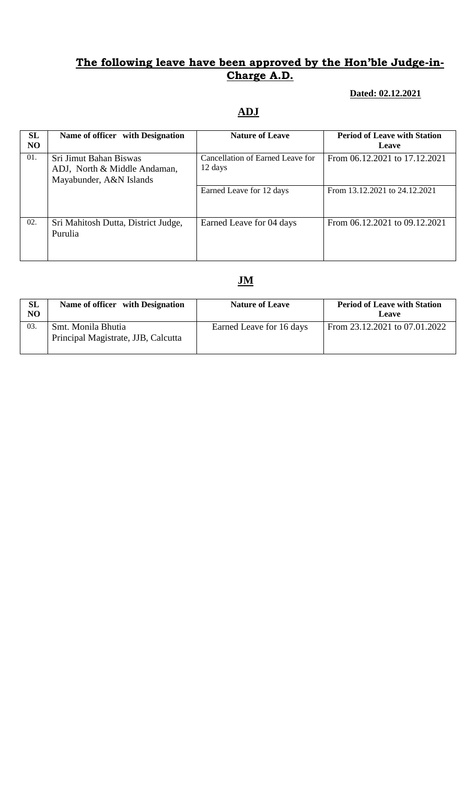#### **Dated: 02.12.2021**

# **ADJ**

| SL             | Name of officer with Designation                                                  | <b>Nature of Leave</b>                      | <b>Period of Leave with Station</b> |
|----------------|-----------------------------------------------------------------------------------|---------------------------------------------|-------------------------------------|
| N <sub>O</sub> |                                                                                   |                                             | Leave                               |
| 01.            | Sri Jimut Bahan Biswas<br>ADJ, North & Middle Andaman,<br>Mayabunder, A&N Islands | Cancellation of Earned Leave for<br>12 days | From 06.12.2021 to 17.12.2021       |
|                |                                                                                   | Earned Leave for 12 days                    | From 13.12.2021 to 24.12.2021       |
| 02.            | Sri Mahitosh Dutta, District Judge,<br>Purulia                                    | Earned Leave for 04 days                    | From 06.12.2021 to 09.12.2021       |

| SL<br>NO | Name of officer with Designation                          | <b>Nature of Leave</b>   | <b>Period of Leave with Station</b><br>Leave |
|----------|-----------------------------------------------------------|--------------------------|----------------------------------------------|
| 03.      | Smt. Monila Bhutia<br>Principal Magistrate, JJB, Calcutta | Earned Leave for 16 days | From 23.12.2021 to 07.01.2022                |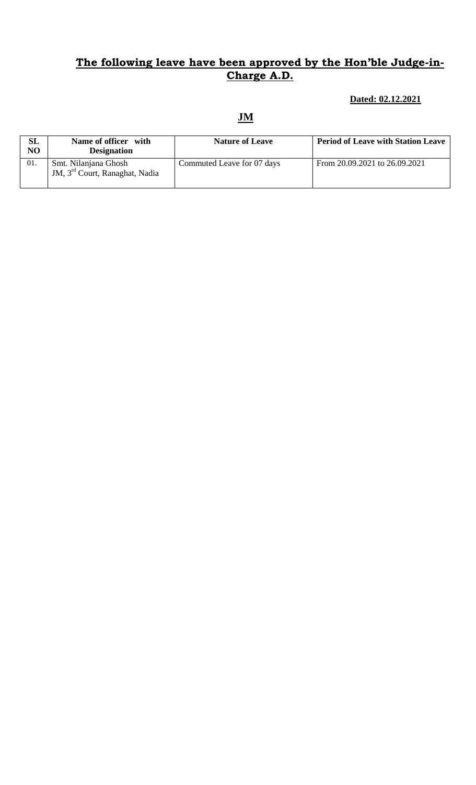### **Dated: 02.12.2021**

| SL<br>NO | Name of officer with<br><b>Designation</b>                         | <b>Nature of Leave</b>     | <b>Period of Leave with Station Leave</b> |
|----------|--------------------------------------------------------------------|----------------------------|-------------------------------------------|
| 01.      | Smt. Nilanjana Ghosh<br>JM, 3 <sup>rd</sup> Court, Ranaghat, Nadia | Commuted Leave for 07 days | From 20.09.2021 to 26.09.2021             |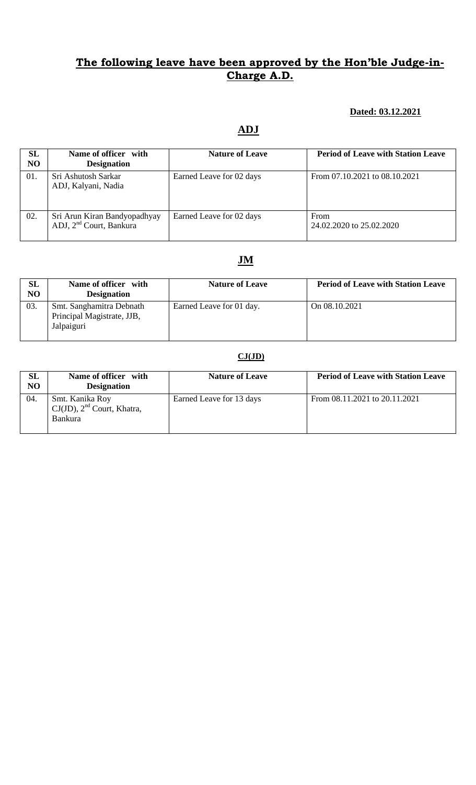### **Dated: 03.12.2021**

# **ADJ**

| SL<br>N <sub>O</sub> | Name of officer with<br><b>Designation</b>                          | <b>Nature of Leave</b>   | <b>Period of Leave with Station Leave</b> |
|----------------------|---------------------------------------------------------------------|--------------------------|-------------------------------------------|
| 01.                  | Sri Ashutosh Sarkar<br>ADJ, Kalyani, Nadia                          | Earned Leave for 02 days | From 07.10.2021 to 08.10.2021             |
| 02.                  | Sri Arun Kiran Bandyopadhyay<br>ADJ, 2 <sup>nd</sup> Court, Bankura | Earned Leave for 02 days | From<br>24.02.2020 to 25.02.2020          |

### **JM**

| SL<br>NO | Name of officer with<br><b>Designation</b>                           | <b>Nature of Leave</b>   | <b>Period of Leave with Station Leave</b> |
|----------|----------------------------------------------------------------------|--------------------------|-------------------------------------------|
| 03.      | Smt. Sanghamitra Debnath<br>Principal Magistrate, JJB,<br>Jalpaiguri | Earned Leave for 01 day. | On 08.10.2021                             |

### **CJ(JD)**

| SL<br>NO | Name of officer with<br><b>Designation</b>                           | <b>Nature of Leave</b>   | <b>Period of Leave with Station Leave</b> |
|----------|----------------------------------------------------------------------|--------------------------|-------------------------------------------|
| 04.      | Smt. Kanika Roy<br>$CJ(JD)$ , $2nd$ Court, Khatra,<br><b>Bankura</b> | Earned Leave for 13 days | From 08.11.2021 to 20.11.2021             |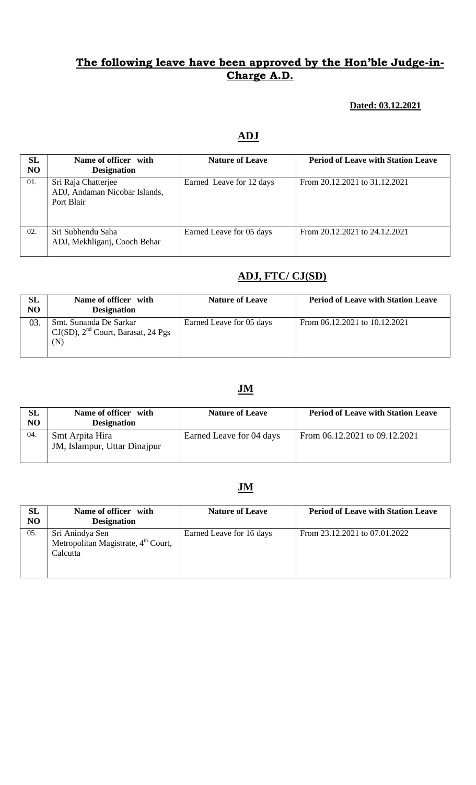#### **Dated: 03.12.2021**

#### **ADJ**

| SL<br>N <sub>O</sub> | Name of officer with<br><b>Designation</b>                         | <b>Nature of Leave</b>   | <b>Period of Leave with Station Leave</b> |
|----------------------|--------------------------------------------------------------------|--------------------------|-------------------------------------------|
| 01.                  | Sri Raja Chatterjee<br>ADJ, Andaman Nicobar Islands,<br>Port Blair | Earned Leave for 12 days | From 20.12.2021 to 31.12.2021             |
| 02.                  | Sri Subhendu Saha<br>ADJ, Mekhliganj, Cooch Behar                  | Earned Leave for 05 days | From 20.12.2021 to 24.12.2021             |

### **ADJ, FTC/ CJ(SD)**

| SL<br>NO | Name of officer with<br><b>Designation</b>                               | <b>Nature of Leave</b>   | <b>Period of Leave with Station Leave</b> |
|----------|--------------------------------------------------------------------------|--------------------------|-------------------------------------------|
| 03.      | Smt. Sunanda De Sarkar<br>$CJ(SD)$ , $2nd$ Court, Barasat, 24 Pgs<br>(N) | Earned Leave for 05 days | From 06.12.2021 to 10.12.2021             |

### **JM**

| SL<br>N <sub>O</sub> | Name of officer with<br><b>Designation</b>      | <b>Nature of Leave</b>   | <b>Period of Leave with Station Leave</b> |
|----------------------|-------------------------------------------------|--------------------------|-------------------------------------------|
| -04.                 | Smt Arpita Hira<br>JM, Islampur, Uttar Dinajpur | Earned Leave for 04 days | From 06.12.2021 to 09.12.2021             |

| SL<br>NO | Name of officer with<br><b>Designation</b>                                     | <b>Nature of Leave</b>   | <b>Period of Leave with Station Leave</b> |
|----------|--------------------------------------------------------------------------------|--------------------------|-------------------------------------------|
| 05.      | Sri Anindya Sen<br>Metropolitan Magistrate, 4 <sup>th</sup> Court,<br>Calcutta | Earned Leave for 16 days | From 23.12.2021 to 07.01.2022             |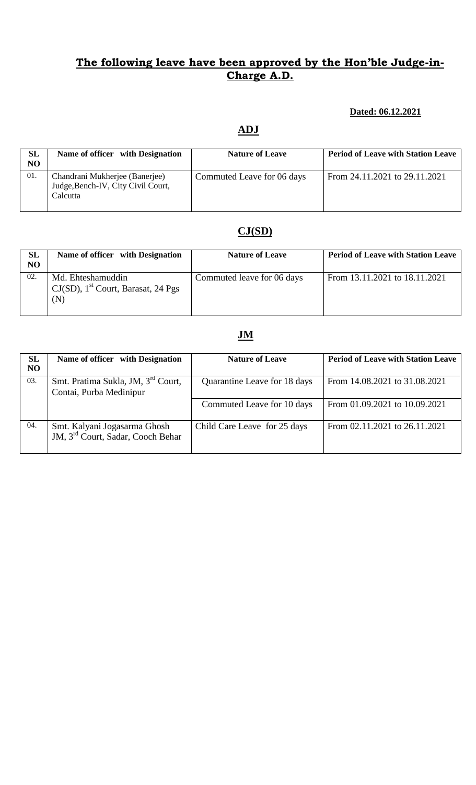#### **Dated: 06.12.2021**

# **ADJ**

| <b>SL</b><br>NO | Name of officer with Designation                                                 | <b>Nature of Leave</b>     | <b>Period of Leave with Station Leave</b> |
|-----------------|----------------------------------------------------------------------------------|----------------------------|-------------------------------------------|
| 01.             | Chandrani Mukherjee (Banerjee)<br>Judge, Bench-IV, City Civil Court,<br>Calcutta | Commuted Leave for 06 days | From 24.11.2021 to 29.11.2021             |

# **CJ(SD)**

| <b>SL</b><br>NO | Name of officer with Designation                                              | <b>Nature of Leave</b>     | <b>Period of Leave with Station Leave</b> |
|-----------------|-------------------------------------------------------------------------------|----------------------------|-------------------------------------------|
| 02.             | Md. Ehteshamuddin<br>$CJ(SD)$ , 1 <sup>st</sup> Court, Barasat, 24 Pgs<br>(N) | Commuted leave for 06 days | From 13.11.2021 to 18.11.2021             |

| <b>SL</b><br>N <sub>O</sub> | Name of officer with Designation                                              | <b>Nature of Leave</b>       | <b>Period of Leave with Station Leave</b> |
|-----------------------------|-------------------------------------------------------------------------------|------------------------------|-------------------------------------------|
| 03.                         | Smt. Pratima Sukla, JM, 3 <sup>rd</sup> Court,<br>Contai, Purba Medinipur     | Quarantine Leave for 18 days | From 14.08.2021 to 31.08.2021             |
|                             |                                                                               | Commuted Leave for 10 days   | From 01.09.2021 to 10.09.2021             |
| 04.                         | Smt. Kalyani Jogasarma Ghosh<br>JM, 3 <sup>rd</sup> Court, Sadar, Cooch Behar | Child Care Leave for 25 days | From 02.11.2021 to 26.11.2021             |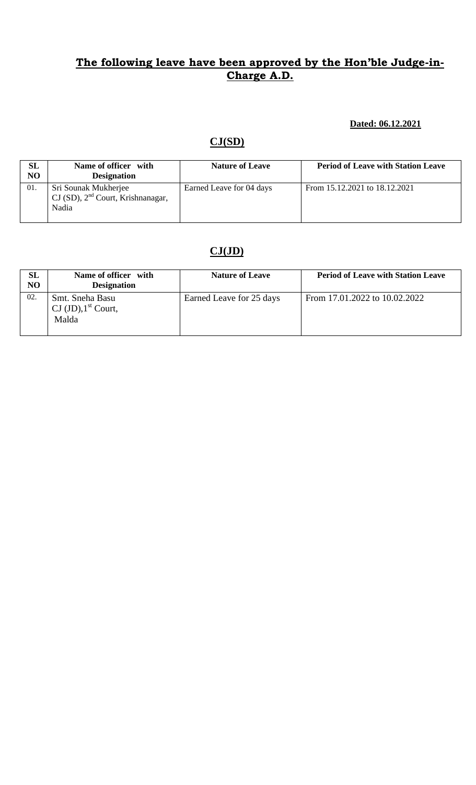#### **Dated: 06.12.2021**

# **CJ(SD)**

| SL<br>NO | Name of officer with<br><b>Designation</b>                           | <b>Nature of Leave</b>   | <b>Period of Leave with Station Leave</b> |
|----------|----------------------------------------------------------------------|--------------------------|-------------------------------------------|
| -01.     | Sri Sounak Mukherjee<br>$CI(SD), 2nd Court, Krishna nagar,$<br>Nadia | Earned Leave for 04 days | From 15.12.2021 to 18.12.2021             |

# **CJ(JD)**

| <b>SL</b><br>NO | Name of officer with<br><b>Designation</b>                         | <b>Nature of Leave</b>   | <b>Period of Leave with Station Leave</b> |
|-----------------|--------------------------------------------------------------------|--------------------------|-------------------------------------------|
| 02.             | Smt. Sneha Basu<br>$\text{CI (JD)}, 1^{\text{st}}$ Court,<br>Malda | Earned Leave for 25 days | From 17.01.2022 to 10.02.2022             |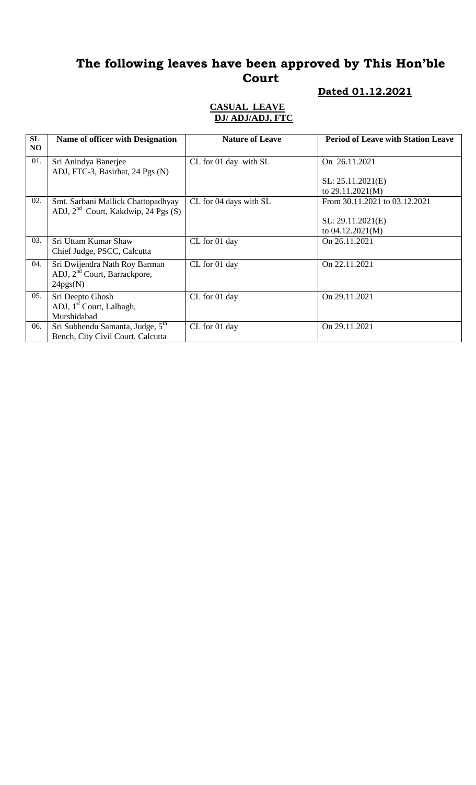# **Dated 01.12.2021**

| SL<br>NO | <b>Name of officer with Designation</b>                                               | <b>Nature of Leave</b> | <b>Period of Leave with Station Leave</b> |
|----------|---------------------------------------------------------------------------------------|------------------------|-------------------------------------------|
| 01.      | Sri Anindya Banerjee                                                                  | CL for 01 day with SL  | On 26.11.2021                             |
|          | ADJ, FTC-3, Basirhat, 24 Pgs (N)                                                      |                        | SL: 25.11.2021(E)                         |
|          |                                                                                       |                        | to 29.11.2021(M)                          |
| 02.      | Smt. Sarbani Mallick Chattopadhyay<br>ADJ, $2^{nd}$ Court, Kakdwip, 24 Pgs (S)        | CL for 04 days with SL | From 30.11.2021 to 03.12.2021             |
|          |                                                                                       |                        | SL: 29.11.2021(E)                         |
|          |                                                                                       |                        | to 04.12.2021(M)                          |
| 03.      | Sri Uttam Kumar Shaw<br>Chief Judge, PSCC, Calcutta                                   | CL for 01 day          | On 26.11.2021                             |
| 04.      | Sri Dwijendra Nath Roy Barman<br>ADJ, 2 <sup>nd</sup> Court, Barrackpore,<br>24pgs(N) | CL for 01 day          | On 22.11.2021                             |
| 05.      | Sri Deepto Ghosh<br>ADJ, 1 <sup>st</sup> Court, Lalbagh,<br>Murshidabad               | CL for 01 day          | On 29.11.2021                             |
| 06.      | Sri Subhendu Samanta, Judge, 5th<br>Bench, City Civil Court, Calcutta                 | CL for 01 day          | On 29.11.2021                             |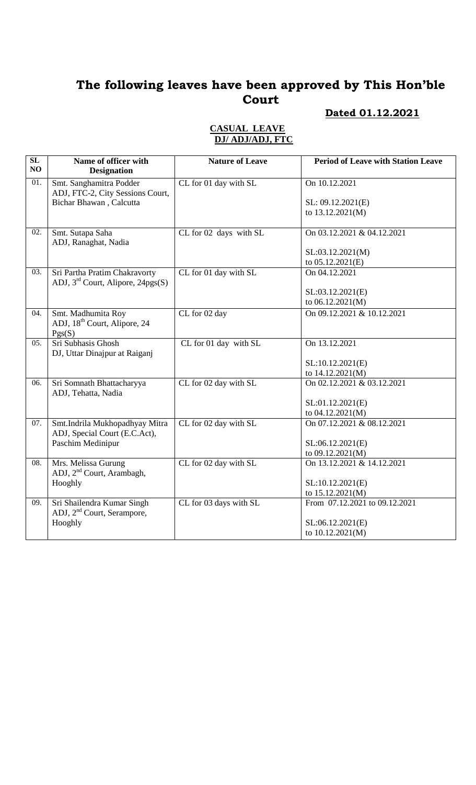### **Dated 01.12.2021**

| SL<br>NO          | Name of officer with<br><b>Designation</b>                           | <b>Nature of Leave</b> | <b>Period of Leave with Station Leave</b> |
|-------------------|----------------------------------------------------------------------|------------------------|-------------------------------------------|
| 01.               | Smt. Sanghamitra Podder<br>ADJ, FTC-2, City Sessions Court,          | CL for 01 day with SL  | On 10.12.2021                             |
|                   | <b>Bichar Bhawan</b> , Calcutta                                      |                        | SL: 09.12.2021(E)                         |
|                   |                                                                      |                        | to 13.12.2021(M)                          |
| $\overline{02}$ . | Smt. Sutapa Saha                                                     | CL for 02 days with SL | On 03.12.2021 & 04.12.2021                |
|                   | ADJ, Ranaghat, Nadia                                                 |                        | SL:03.12.2021(M)                          |
|                   |                                                                      |                        | to 05.12.2021(E)                          |
| 03.               | Sri Partha Pratim Chakravorty                                        | CL for 01 day with SL  | On 04.12.2021                             |
|                   | ADJ, 3 <sup>rd</sup> Court, Alipore, 24pgs(S)                        |                        |                                           |
|                   |                                                                      |                        | SL:03.12.2021(E)                          |
|                   |                                                                      |                        | to 06.12.2021(M)                          |
| 04.               | Smt. Madhumita Roy                                                   | CL for 02 day          | On 09.12.2021 & 10.12.2021                |
|                   | ADJ, 18 <sup>th</sup> Court, Alipore, 24                             |                        |                                           |
|                   | Pgs(S)                                                               |                        |                                           |
| 05.               | Sri Subhasis Ghosh                                                   | CL for 01 day with SL  | On 13.12.2021                             |
|                   | DJ, Uttar Dinajpur at Raiganj                                        |                        | SL:10.12.2021(E)                          |
|                   |                                                                      |                        | to 14.12.2021(M)                          |
| 06.               | Sri Somnath Bhattacharyya                                            | CL for 02 day with SL  | On 02.12.2021 & 03.12.2021                |
|                   | ADJ, Tehatta, Nadia                                                  |                        |                                           |
|                   |                                                                      |                        | SL:01.12.2021(E)                          |
|                   |                                                                      |                        | to 04.12.2021(M)                          |
| 07.               | Smt.Indrila Mukhopadhyay Mitra<br>ADJ, Special Court (E.C.Act),      | CL for 02 day with SL  | On 07.12.2021 & 08.12.2021                |
|                   | Paschim Medinipur                                                    |                        | SL:06.12.2021(E)                          |
|                   |                                                                      |                        | to 09.12.2021(M)                          |
| 08.               | Mrs. Melissa Gurung<br>ADJ, 2 <sup>nd</sup> Court, Arambagh,         | CL for 02 day with SL  | On 13.12.2021 & 14.12.2021                |
|                   | Hooghly                                                              |                        | SL:10.12.2021(E)                          |
|                   |                                                                      |                        | to 15.12.2021(M)                          |
| 09.               | Sri Shailendra Kumar Singh<br>ADJ, 2 <sup>nd</sup> Court, Serampore, | CL for 03 days with SL | From 07.12.2021 to 09.12.2021             |
|                   | Hooghly                                                              |                        | SL:06.12.2021(E)                          |
|                   |                                                                      |                        | to 10.12.2021(M)                          |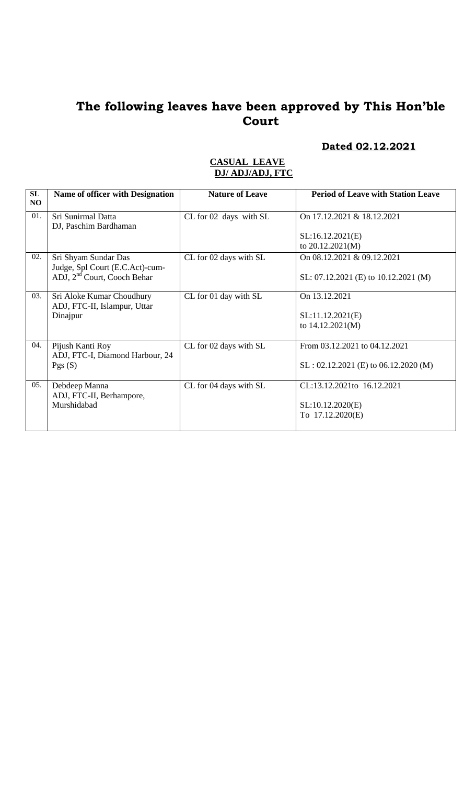# **Dated 02.12.2021**

| SL<br>NO. | <b>Name of officer with Designation</b>                   | <b>Nature of Leave</b> | <b>Period of Leave with Station Leave</b> |
|-----------|-----------------------------------------------------------|------------------------|-------------------------------------------|
| 01.       | Sri Sunirmal Datta<br>DJ, Paschim Bardhaman               | CL for 02 days with SL | On 17.12.2021 & 18.12.2021                |
|           |                                                           |                        | SL:16.12.2021(E)<br>to $20.12.2021(M)$    |
| 02.       | Sri Shyam Sundar Das<br>Judge, Spl Court (E.C.Act)-cum-   | CL for 02 days with SL | On 08.12.2021 & 09.12.2021                |
|           | ADJ, 2 <sup>nd</sup> Court, Cooch Behar                   |                        | SL: $07.12.2021$ (E) to $10.12.2021$ (M)  |
| 03.       | Sri Aloke Kumar Choudhury<br>ADJ, FTC-II, Islampur, Uttar | CL for 01 day with SL  | On 13.12.2021                             |
|           | Dinajpur                                                  |                        | SL:11.12.2021(E)                          |
|           |                                                           |                        | to 14.12.2021(M)                          |
| 04.       | Pijush Kanti Roy<br>ADJ, FTC-I, Diamond Harbour, 24       | CL for 02 days with SL | From 03.12.2021 to 04.12.2021             |
|           | Pgs(S)                                                    |                        | $SL: 02.12.2021$ (E) to 06.12.2020 (M)    |
| 05.       | Debdeep Manna<br>ADJ, FTC-II, Berhampore,                 | CL for 04 days with SL | CL:13.12.2021to 16.12.2021                |
|           | Murshidabad                                               |                        | SL:10.12.2020(E)                          |
|           |                                                           |                        | To 17.12.2020(E)                          |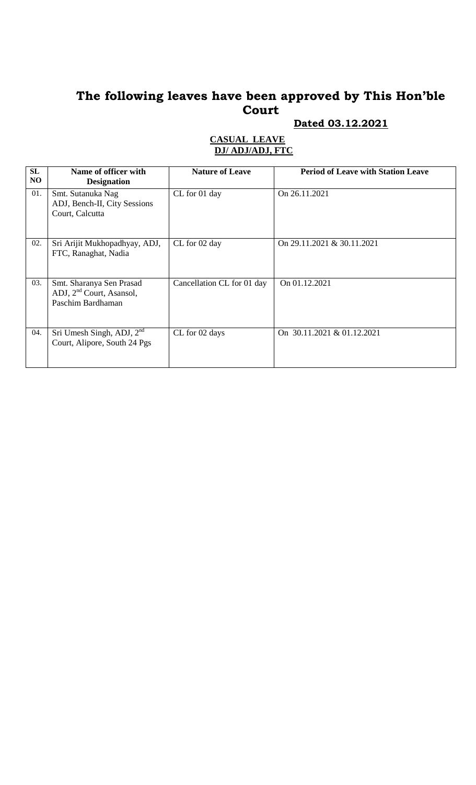### **Dated 03.12.2021**

| SL<br>NO | Name of officer with<br><b>Designation</b>                                            | <b>Nature of Leave</b>     | <b>Period of Leave with Station Leave</b> |
|----------|---------------------------------------------------------------------------------------|----------------------------|-------------------------------------------|
| 01.      | Smt. Sutanuka Nag<br>ADJ, Bench-II, City Sessions<br>Court, Calcutta                  | CL for 01 day              | On 26.11.2021                             |
| 02.      | Sri Arijit Mukhopadhyay, ADJ,<br>FTC, Ranaghat, Nadia                                 | CL for 02 day              | On 29.11.2021 & 30.11.2021                |
| 03.      | Smt. Sharanya Sen Prasad<br>ADJ, 2 <sup>nd</sup> Court, Asansol,<br>Paschim Bardhaman | Cancellation CL for 01 day | On 01.12.2021                             |
| 04.      | Sri Umesh Singh, ADJ, $2nd$<br>Court, Alipore, South 24 Pgs                           | CL for 02 days             | On 30.11.2021 & 01.12.2021                |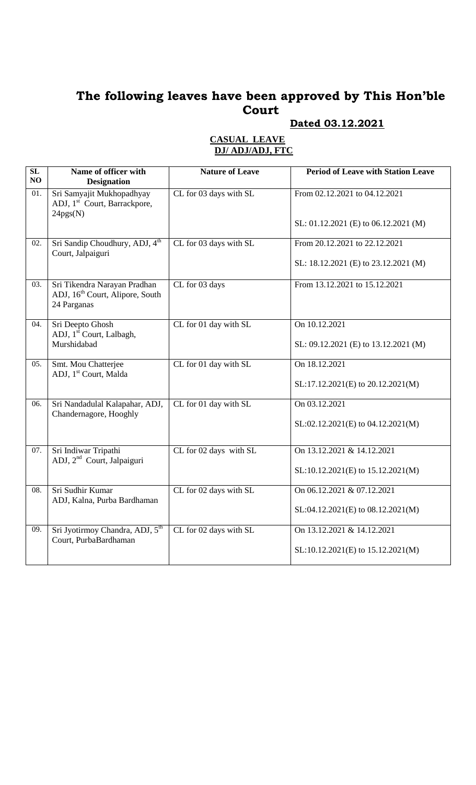### **Dated 03.12.2021**

| $\overline{\text{SL}}$ | Name of officer with                                                                       | <b>Nature of Leave</b> | <b>Period of Leave with Station Leave</b> |
|------------------------|--------------------------------------------------------------------------------------------|------------------------|-------------------------------------------|
| NO                     | <b>Designation</b>                                                                         |                        |                                           |
| 01.                    | Sri Samyajit Mukhopadhyay<br>ADJ, 1 <sup>st</sup> Court, Barrackpore,<br>24pgs(N)          | CL for 03 days with SL | From 02.12.2021 to 04.12.2021             |
|                        |                                                                                            |                        | SL: 01.12.2021 (E) to 06.12.2021 (M)      |
| 02.                    | Sri Sandip Choudhury, ADJ, 4 <sup>th</sup><br>Court, Jalpaiguri                            | CL for 03 days with SL | From 20.12.2021 to 22.12.2021             |
|                        |                                                                                            |                        | SL: 18.12.2021 (E) to 23.12.2021 (M)      |
| 03.                    | Sri Tikendra Narayan Pradhan<br>ADJ, 16 <sup>th</sup> Court, Alipore, South<br>24 Parganas | CL for 03 days         | From 13.12.2021 to 15.12.2021             |
| 04.                    | Sri Deepto Ghosh<br>ADJ, 1 <sup>st</sup> Court, Lalbagh,                                   | CL for 01 day with SL  | On 10.12.2021                             |
|                        | Murshidabad                                                                                |                        | SL: 09.12.2021 (E) to 13.12.2021 (M)      |
| 05.                    | Smt. Mou Chatterjee<br>ADJ, 1 <sup>st</sup> Court, Malda                                   | CL for 01 day with SL  | On $18.12.2021$                           |
|                        |                                                                                            |                        | SL:17.12.2021(E) to 20.12.2021(M)         |
| 06.                    | Sri Nandadulal Kalapahar, ADJ,<br>Chandernagore, Hooghly                                   | CL for 01 day with SL  | On 03.12.2021                             |
|                        |                                                                                            |                        | SL:02.12.2021(E) to 04.12.2021(M)         |
| 07.                    | Sri Indiwar Tripathi<br>ADJ, 2 <sup>nd</sup> Court, Jalpaiguri                             | CL for 02 days with SL | On 13.12.2021 & 14.12.2021                |
|                        |                                                                                            |                        | SL:10.12.2021(E) to 15.12.2021(M)         |
| 08.                    | Sri Sudhir Kumar<br>ADJ, Kalna, Purba Bardhaman                                            | CL for 02 days with SL | On 06.12.2021 & 07.12.2021                |
|                        |                                                                                            |                        | $SL:04.12.2021(E)$ to $08.12.2021(M)$     |
| 09.                    | Sri Jyotirmoy Chandra, ADJ, 5 <sup>th</sup><br>Court, PurbaBardhaman                       | CL for 02 days with SL | On 13.12.2021 & 14.12.2021                |
|                        |                                                                                            |                        | SL:10.12.2021(E) to 15.12.2021(M)         |